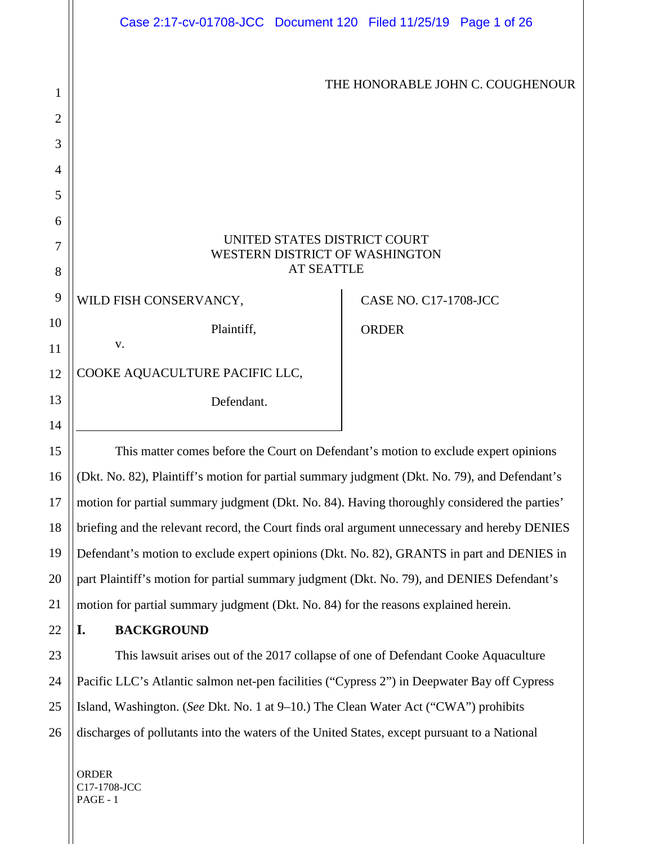|                | Case 2:17-cv-01708-JCC Document 120 Filed 11/25/19 Page 1 of 26                               |  |                              |                                  |  |
|----------------|-----------------------------------------------------------------------------------------------|--|------------------------------|----------------------------------|--|
|                |                                                                                               |  |                              |                                  |  |
| 1              |                                                                                               |  |                              | THE HONORABLE JOHN C. COUGHENOUR |  |
| $\overline{2}$ |                                                                                               |  |                              |                                  |  |
| 3              |                                                                                               |  |                              |                                  |  |
| 4              |                                                                                               |  |                              |                                  |  |
| 5              |                                                                                               |  |                              |                                  |  |
| 6              |                                                                                               |  |                              |                                  |  |
| 7              | UNITED STATES DISTRICT COURT<br>WESTERN DISTRICT OF WASHINGTON                                |  |                              |                                  |  |
| 8              | <b>AT SEATTLE</b>                                                                             |  |                              |                                  |  |
| 9              | WILD FISH CONSERVANCY,                                                                        |  | <b>CASE NO. C17-1708-JCC</b> |                                  |  |
| 10             | Plaintiff,                                                                                    |  | <b>ORDER</b>                 |                                  |  |
| 11             | V.                                                                                            |  |                              |                                  |  |
| 12             | COOKE AQUACULTURE PACIFIC LLC,                                                                |  |                              |                                  |  |
| 13             | Defendant.                                                                                    |  |                              |                                  |  |
| 14             |                                                                                               |  |                              |                                  |  |
| 15             | This matter comes before the Court on Defendant's motion to exclude expert opinions           |  |                              |                                  |  |
| 16             | (Dkt. No. 82), Plaintiff's motion for partial summary judgment (Dkt. No. 79), and Defendant's |  |                              |                                  |  |
| 17             | motion for partial summary judgment (Dkt. No. 84). Having thoroughly considered the parties'  |  |                              |                                  |  |
| 18             | briefing and the relevant record, the Court finds oral argument unnecessary and hereby DENIES |  |                              |                                  |  |
| 19             | Defendant's motion to exclude expert opinions (Dkt. No. 82), GRANTS in part and DENIES in     |  |                              |                                  |  |

20 21 part Plaintiff's motion for partial summary judgment (Dkt. No. 79), and DENIES Defendant's motion for partial summary judgment (Dkt. No. 84) for the reasons explained herein.

# **I. BACKGROUND**

22

23

24

25

26

This lawsuit arises out of the 2017 collapse of one of Defendant Cooke Aquaculture Pacific LLC's Atlantic salmon net-pen facilities ("Cypress 2") in Deepwater Bay off Cypress Island, Washington. (*See* Dkt. No. 1 at 9–10.) The Clean Water Act ("CWA") prohibits discharges of pollutants into the waters of the United States, except pursuant to a National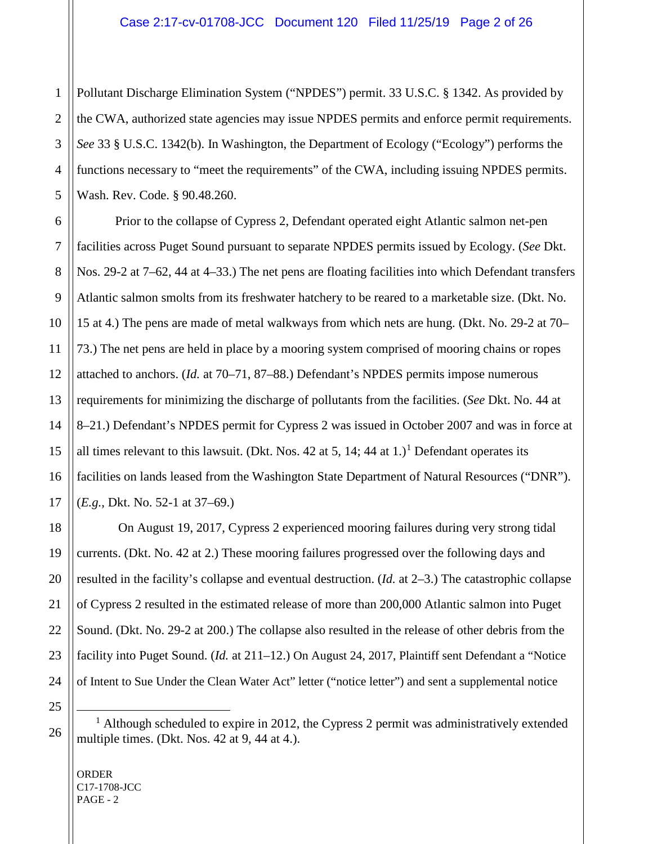Pollutant Discharge Elimination System ("NPDES") permit. 33 U.S.C. § 1342. As provided by the CWA, authorized state agencies may issue NPDES permits and enforce permit requirements. *See* 33 § U.S.C. 1342(b). In Washington, the Department of Ecology ("Ecology") performs the functions necessary to "meet the requirements" of the CWA, including issuing NPDES permits. Wash. Rev. Code. § 90.48.260.

Prior to the collapse of Cypress 2, Defendant operated eight Atlantic salmon net-pen facilities across Puget Sound pursuant to separate NPDES permits issued by Ecology. (*See* Dkt. Nos. 29-2 at 7–62, 44 at 4–33.) The net pens are floating facilities into which Defendant transfers Atlantic salmon smolts from its freshwater hatchery to be reared to a marketable size. (Dkt. No. 15 at 4.) The pens are made of metal walkways from which nets are hung. (Dkt. No. 29-2 at 70– 73.) The net pens are held in place by a mooring system comprised of mooring chains or ropes attached to anchors. (*Id.* at 70–71, 87–88.) Defendant's NPDES permits impose numerous requirements for minimizing the discharge of pollutants from the facilities. (*See* Dkt. No. 44 at 8–21.) Defendant's NPDES permit for Cypress 2 was issued in October 2007 and was in force at all times relevant to this lawsuit. (Dkt. Nos. 42 at 5, [1](#page-1-0)4; 44 at 1.)<sup>1</sup> Defendant operates its facilities on lands leased from the Washington State Department of Natural Resources ("DNR"). (*E.g.*, Dkt. No. 52-1 at 37–69.)

On August 19, 2017, Cypress 2 experienced mooring failures during very strong tidal currents. (Dkt. No. 42 at 2.) These mooring failures progressed over the following days and resulted in the facility's collapse and eventual destruction. (*Id.* at 2–3.) The catastrophic collapse of Cypress 2 resulted in the estimated release of more than 200,000 Atlantic salmon into Puget Sound. (Dkt. No. 29-2 at 200.) The collapse also resulted in the release of other debris from the facility into Puget Sound. (*Id.* at 211–12.) On August 24, 2017, Plaintiff sent Defendant a "Notice of Intent to Sue Under the Clean Water Act" letter ("notice letter") and sent a supplemental notice

ORDER C17-1708-JCC PAGE - 2

<span id="page-1-0"></span> $<sup>1</sup>$  Although scheduled to expire in 2012, the Cypress 2 permit was administratively extended</sup> multiple times. (Dkt. Nos. 42 at 9, 44 at 4.).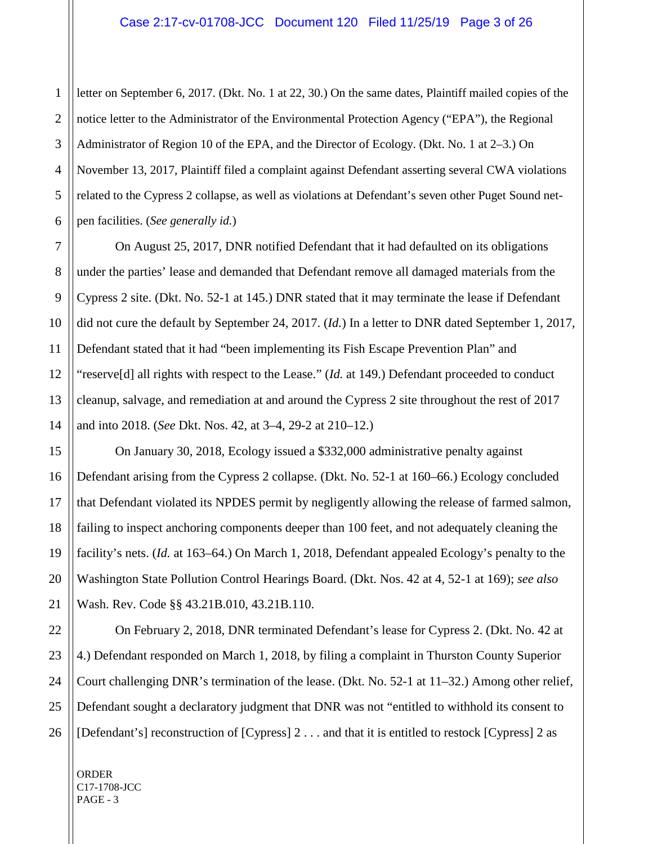1 letter on September 6, 2017. (Dkt. No. 1 at 22, 30.) On the same dates, Plaintiff mailed copies of the notice letter to the Administrator of the Environmental Protection Agency ("EPA"), the Regional Administrator of Region 10 of the EPA, and the Director of Ecology. (Dkt. No. 1 at 2–3.) On November 13, 2017, Plaintiff filed a complaint against Defendant asserting several CWA violations related to the Cypress 2 collapse, as well as violations at Defendant's seven other Puget Sound netpen facilities. (*See generally id.*)

On August 25, 2017, DNR notified Defendant that it had defaulted on its obligations under the parties' lease and demanded that Defendant remove all damaged materials from the Cypress 2 site. (Dkt. No. 52-1 at 145.) DNR stated that it may terminate the lease if Defendant did not cure the default by September 24, 2017. (*Id.*) In a letter to DNR dated September 1, 2017, Defendant stated that it had "been implementing its Fish Escape Prevention Plan" and "reserve[d] all rights with respect to the Lease." (*Id.* at 149.) Defendant proceeded to conduct cleanup, salvage, and remediation at and around the Cypress 2 site throughout the rest of 2017 and into 2018. (*See* Dkt. Nos. 42, at 3–4, 29-2 at 210–12.)

On January 30, 2018, Ecology issued a \$332,000 administrative penalty against Defendant arising from the Cypress 2 collapse. (Dkt. No. 52-1 at 160–66.) Ecology concluded that Defendant violated its NPDES permit by negligently allowing the release of farmed salmon, failing to inspect anchoring components deeper than 100 feet, and not adequately cleaning the facility's nets. (*Id.* at 163–64.) On March 1, 2018, Defendant appealed Ecology's penalty to the Washington State Pollution Control Hearings Board. (Dkt. Nos. 42 at 4, 52-1 at 169); *see also* Wash. Rev. Code §§ 43.21B.010, 43.21B.110.

On February 2, 2018, DNR terminated Defendant's lease for Cypress 2. (Dkt. No. 42 at 4.) Defendant responded on March 1, 2018, by filing a complaint in Thurston County Superior Court challenging DNR's termination of the lease. (Dkt. No. 52-1 at 11–32.) Among other relief, Defendant sought a declaratory judgment that DNR was not "entitled to withhold its consent to [Defendant's] reconstruction of [Cypress] 2 . . . and that it is entitled to restock [Cypress] 2 as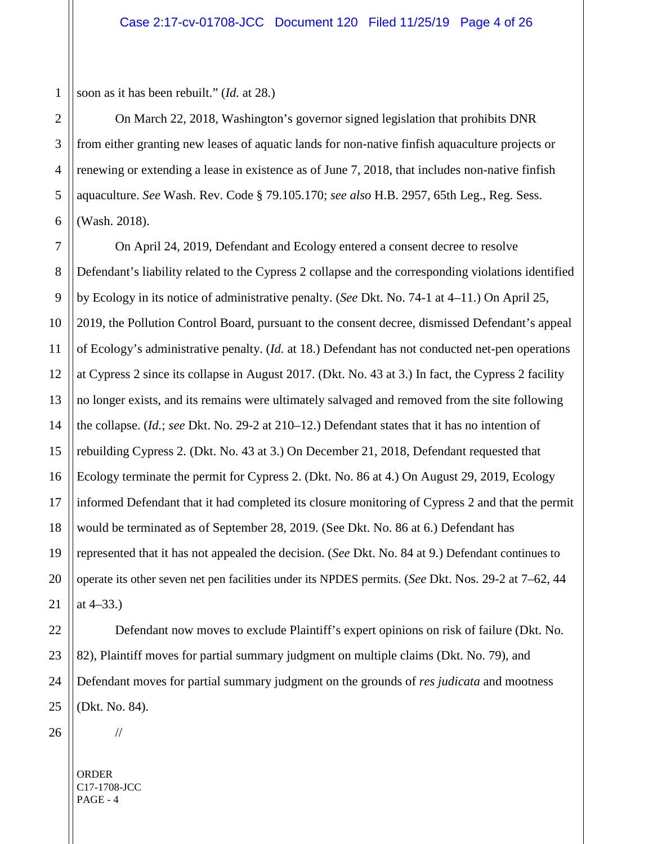1 soon as it has been rebuilt." (*Id.* at 28.)

On March 22, 2018, Washington's governor signed legislation that prohibits DNR from either granting new leases of aquatic lands for non-native finfish aquaculture projects or renewing or extending a lease in existence as of June 7, 2018, that includes non-native finfish aquaculture. *See* Wash. Rev. Code § 79.105.170; *see also* H.B. 2957, 65th Leg., Reg. Sess. (Wash. 2018).

7 8 9 On April 24, 2019, Defendant and Ecology entered a consent decree to resolve Defendant's liability related to the Cypress 2 collapse and the corresponding violations identified by Ecology in its notice of administrative penalty. (*See* Dkt. No. 74-1 at 4–11.) On April 25, 2019, the Pollution Control Board, pursuant to the consent decree, dismissed Defendant's appeal of Ecology's administrative penalty. (*Id.* at 18.) Defendant has not conducted net-pen operations at Cypress 2 since its collapse in August 2017. (Dkt. No. 43 at 3.) In fact, the Cypress 2 facility no longer exists, and its remains were ultimately salvaged and removed from the site following the collapse. (*Id.*; *see* Dkt. No. 29-2 at 210–12.) Defendant states that it has no intention of rebuilding Cypress 2. (Dkt. No. 43 at 3.) On December 21, 2018, Defendant requested that Ecology terminate the permit for Cypress 2. (Dkt. No. 86 at 4.) On August 29, 2019, Ecology informed Defendant that it had completed its closure monitoring of Cypress 2 and that the permit would be terminated as of September 28, 2019. (See Dkt. No. 86 at 6.) Defendant has represented that it has not appealed the decision. (*See* Dkt. No. 84 at 9.) Defendant continues to operate its other seven net pen facilities under its NPDES permits. (*See* Dkt. Nos. 29-2 at 7–62, 44 at 4–33.)

Defendant now moves to exclude Plaintiff's expert opinions on risk of failure (Dkt. No. 82), Plaintiff moves for partial summary judgment on multiple claims (Dkt. No. 79), and Defendant moves for partial summary judgment on the grounds of *res judicata* and mootness (Dkt. No. 84).

2

3

4

5

6

26

ORDER C17-1708-JCC PAGE - 4

//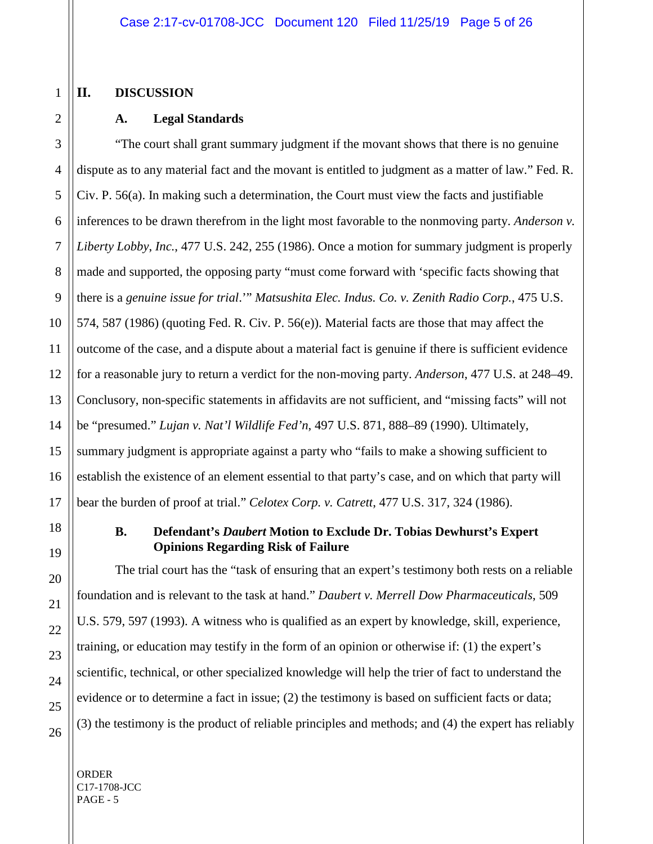#### 1 **II. DISCUSSION**

2

3

9

11

17

18

19

20

21

22

23

24

# **A. Legal Standards**

4 5 6 7 8 10 12 13 14 15 16 "The court shall grant summary judgment if the movant shows that there is no genuine dispute as to any material fact and the movant is entitled to judgment as a matter of law." Fed. R. Civ. P. 56(a). In making such a determination, the Court must view the facts and justifiable inferences to be drawn therefrom in the light most favorable to the nonmoving party. *Anderson v. Liberty Lobby*, *Inc.*, 477 U.S. 242, 255 (1986). Once a motion for summary judgment is properly made and supported, the opposing party "must come forward with 'specific facts showing that there is a *genuine issue for trial*.'" *Matsushita Elec. Indus. Co. v. Zenith Radio Corp.*, 475 U.S. 574, 587 (1986) (quoting Fed. R. Civ. P. 56(e)). Material facts are those that may affect the outcome of the case, and a dispute about a material fact is genuine if there is sufficient evidence for a reasonable jury to return a verdict for the non-moving party. *Anderson*, 477 U.S. at 248–49. Conclusory, non-specific statements in affidavits are not sufficient, and "missing facts" will not be "presumed." *Lujan v. Nat'l Wildlife Fed'n*, 497 U.S. 871, 888–89 (1990). Ultimately, summary judgment is appropriate against a party who "fails to make a showing sufficient to establish the existence of an element essential to that party's case, and on which that party will bear the burden of proof at trial." *Celotex Corp. v. Catrett*, 477 U.S. 317, 324 (1986).

#### **B. Defendant's** *Daubert* **Motion to Exclude Dr. Tobias Dewhurst's Expert Opinions Regarding Risk of Failure**

The trial court has the "task of ensuring that an expert's testimony both rests on a reliable foundation and is relevant to the task at hand." *Daubert v. Merrell Dow Pharmaceuticals*, 509 U.S. 579, 597 (1993). A witness who is qualified as an expert by knowledge, skill, experience, training, or education may testify in the form of an opinion or otherwise if: (1) the expert's scientific, technical, or other specialized knowledge will help the trier of fact to understand the evidence or to determine a fact in issue; (2) the testimony is based on sufficient facts or data; (3) the testimony is the product of reliable principles and methods; and (4) the expert has reliably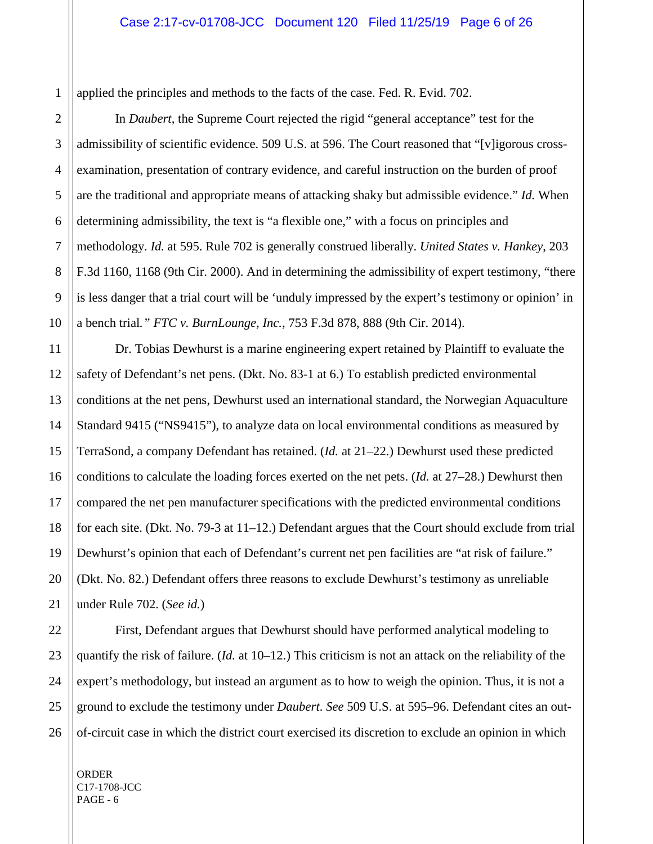1 applied the principles and methods to the facts of the case. Fed. R. Evid. 702.

In *Daubert*, the Supreme Court rejected the rigid "general acceptance" test for the admissibility of scientific evidence. 509 U.S. at 596. The Court reasoned that "[v]igorous crossexamination, presentation of contrary evidence, and careful instruction on the burden of proof are the traditional and appropriate means of attacking shaky but admissible evidence." *Id.* When determining admissibility, the text is "a flexible one," with a focus on principles and methodology. *Id.* at 595. Rule 702 is generally construed liberally. *United States v. Hankey*, 203 F.3d 1160, 1168 (9th Cir. 2000). And in determining the admissibility of expert testimony, "there is less danger that a trial court will be 'unduly impressed by the expert's testimony or opinion' in a bench trial*." FTC v. BurnLounge, Inc.*, 753 F.3d 878, 888 (9th Cir. 2014).

Dr. Tobias Dewhurst is a marine engineering expert retained by Plaintiff to evaluate the safety of Defendant's net pens. (Dkt. No. 83-1 at 6.) To establish predicted environmental conditions at the net pens, Dewhurst used an international standard, the Norwegian Aquaculture Standard 9415 ("NS9415"), to analyze data on local environmental conditions as measured by TerraSond, a company Defendant has retained. (*Id.* at 21–22.) Dewhurst used these predicted conditions to calculate the loading forces exerted on the net pets. (*Id.* at 27–28.) Dewhurst then compared the net pen manufacturer specifications with the predicted environmental conditions for each site. (Dkt. No. 79-3 at 11–12.) Defendant argues that the Court should exclude from trial Dewhurst's opinion that each of Defendant's current net pen facilities are "at risk of failure." (Dkt. No. 82.) Defendant offers three reasons to exclude Dewhurst's testimony as unreliable under Rule 702. (*See id.*)

First, Defendant argues that Dewhurst should have performed analytical modeling to quantify the risk of failure. (*Id.* at 10–12.) This criticism is not an attack on the reliability of the expert's methodology, but instead an argument as to how to weigh the opinion. Thus, it is not a ground to exclude the testimony under *Daubert*. *See* 509 U.S. at 595–96. Defendant cites an outof-circuit case in which the district court exercised its discretion to exclude an opinion in which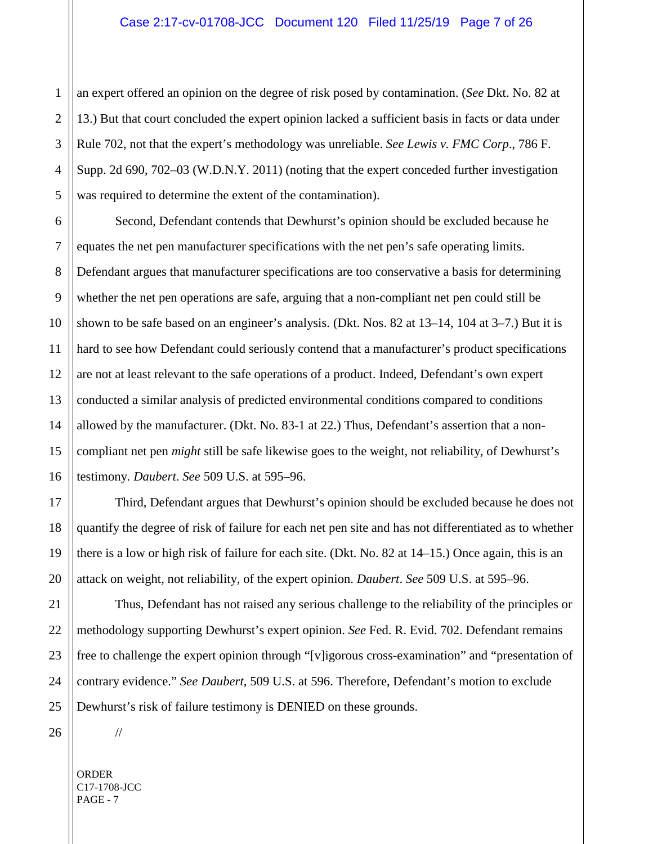an expert offered an opinion on the degree of risk posed by contamination. (*See* Dkt. No. 82 at 13.) But that court concluded the expert opinion lacked a sufficient basis in facts or data under Rule 702, not that the expert's methodology was unreliable. *See Lewis v. FMC Corp*., 786 F. Supp. 2d 690, 702–03 (W.D.N.Y. 2011) (noting that the expert conceded further investigation was required to determine the extent of the contamination).

Second, Defendant contends that Dewhurst's opinion should be excluded because he equates the net pen manufacturer specifications with the net pen's safe operating limits. Defendant argues that manufacturer specifications are too conservative a basis for determining whether the net pen operations are safe, arguing that a non-compliant net pen could still be shown to be safe based on an engineer's analysis. (Dkt. Nos. 82 at 13–14, 104 at 3–7.) But it is hard to see how Defendant could seriously contend that a manufacturer's product specifications are not at least relevant to the safe operations of a product. Indeed, Defendant's own expert conducted a similar analysis of predicted environmental conditions compared to conditions allowed by the manufacturer. (Dkt. No. 83-1 at 22.) Thus, Defendant's assertion that a noncompliant net pen *might* still be safe likewise goes to the weight, not reliability, of Dewhurst's testimony. *Daubert*. *See* 509 U.S. at 595–96.

Third, Defendant argues that Dewhurst's opinion should be excluded because he does not quantify the degree of risk of failure for each net pen site and has not differentiated as to whether there is a low or high risk of failure for each site. (Dkt. No. 82 at 14–15.) Once again, this is an attack on weight, not reliability, of the expert opinion. *Daubert*. *See* 509 U.S. at 595–96.

Thus, Defendant has not raised any serious challenge to the reliability of the principles or methodology supporting Dewhurst's expert opinion. *See* Fed. R. Evid. 702. Defendant remains free to challenge the expert opinion through "[v]igorous cross-examination" and "presentation of contrary evidence." *See Daubert*, 509 U.S. at 596. Therefore, Defendant's motion to exclude Dewhurst's risk of failure testimony is DENIED on these grounds.

ORDER C17-1708-JCC PAGE - 7

//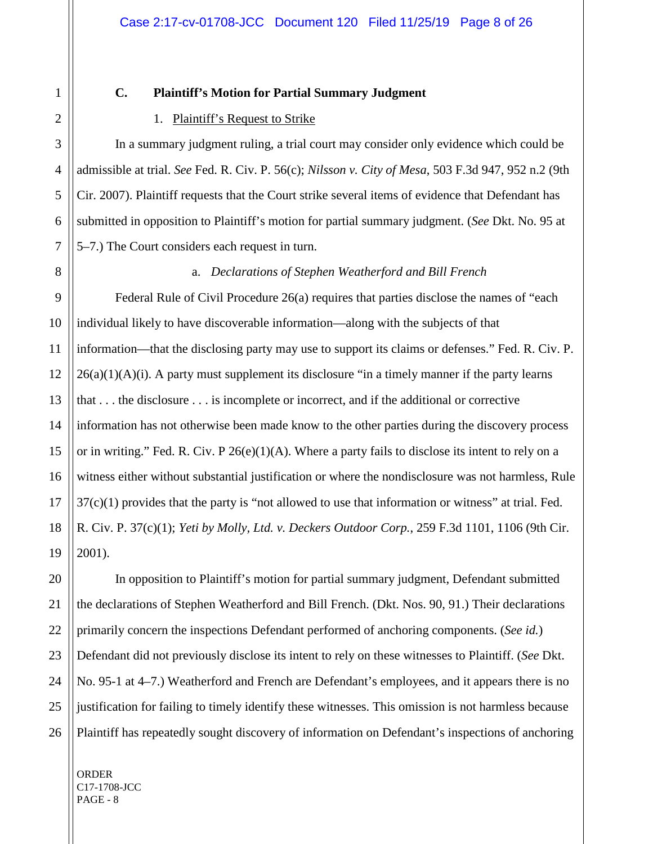21

#### **C. Plaintiff's Motion for Partial Summary Judgment**

#### 1. Plaintiff's Request to Strike

In a summary judgment ruling, a trial court may consider only evidence which could be admissible at trial. *See* Fed. R. Civ. P. 56(c); *Nilsson v. City of Mesa*, 503 F.3d 947, 952 n.2 (9th Cir. 2007). Plaintiff requests that the Court strike several items of evidence that Defendant has submitted in opposition to Plaintiff's motion for partial summary judgment. (*See* Dkt. No. 95 at 5–7.) The Court considers each request in turn.

#### a. *Declarations of Stephen Weatherford and Bill French*

Federal Rule of Civil Procedure 26(a) requires that parties disclose the names of "each individual likely to have discoverable information—along with the subjects of that information—that the disclosing party may use to support its claims or defenses." Fed. R. Civ. P.  $26(a)(1)(A)(i)$ . A party must supplement its disclosure "in a timely manner if the party learns that . . . the disclosure . . . is incomplete or incorrect, and if the additional or corrective information has not otherwise been made know to the other parties during the discovery process or in writing." Fed. R. Civ. P 26(e)(1)(A). Where a party fails to disclose its intent to rely on a witness either without substantial justification or where the nondisclosure was not harmless, Rule  $37(c)(1)$  provides that the party is "not allowed to use that information or witness" at trial. Fed. R. Civ. P. 37(c)(1); *Yeti by Molly, Ltd. v. Deckers Outdoor Corp.*, 259 F.3d 1101, 1106 (9th Cir. 2001).

20 22 23 24 25 26 In opposition to Plaintiff's motion for partial summary judgment, Defendant submitted the declarations of Stephen Weatherford and Bill French. (Dkt. Nos. 90, 91.) Their declarations primarily concern the inspections Defendant performed of anchoring components. (*See id.*) Defendant did not previously disclose its intent to rely on these witnesses to Plaintiff. (*See* Dkt. No. 95-1 at 4–7.) Weatherford and French are Defendant's employees, and it appears there is no justification for failing to timely identify these witnesses. This omission is not harmless because Plaintiff has repeatedly sought discovery of information on Defendant's inspections of anchoring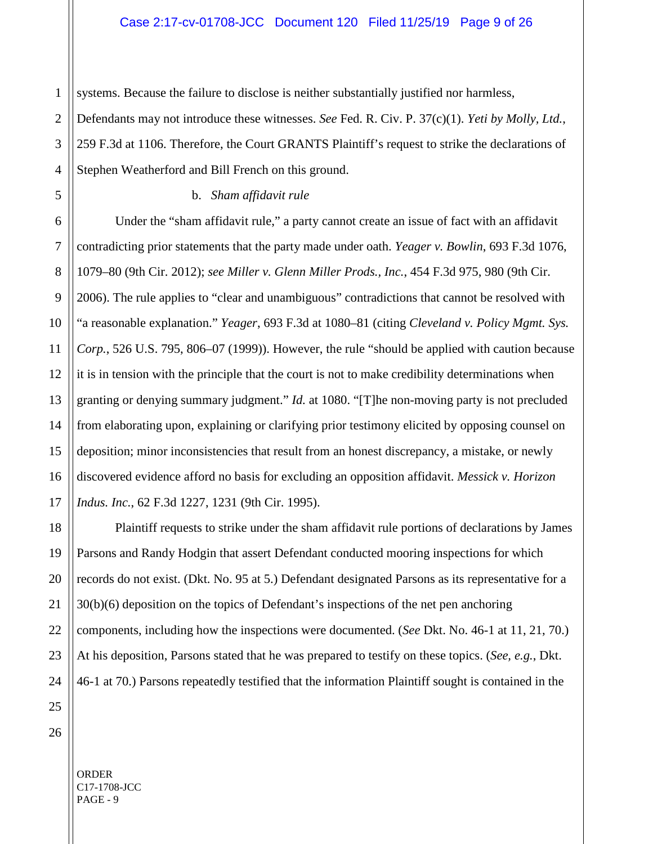systems. Because the failure to disclose is neither substantially justified nor harmless,

Defendants may not introduce these witnesses. *See* Fed. R. Civ. P. 37(c)(1). *Yeti by Molly, Ltd.*, 259 F.3d at 1106. Therefore, the Court GRANTS Plaintiff's request to strike the declarations of Stephen Weatherford and Bill French on this ground.

#### b. *Sham affidavit rule*

Under the "sham affidavit rule," a party cannot create an issue of fact with an affidavit contradicting prior statements that the party made under oath. *Yeager v. Bowlin*, 693 F.3d 1076, 1079–80 (9th Cir. 2012); *see Miller v. Glenn Miller Prods., Inc.*, 454 F.3d 975, 980 (9th Cir. 2006). The rule applies to "clear and unambiguous" contradictions that cannot be resolved with "a reasonable explanation." *Yeager*, 693 F.3d at 1080–81 (citing *Cleveland v. Policy Mgmt. Sys. Corp.*, 526 U.S. 795, 806–07 (1999)). However, the rule "should be applied with caution because it is in tension with the principle that the court is not to make credibility determinations when granting or denying summary judgment." *Id.* at 1080. "[T]he non-moving party is not precluded from elaborating upon, explaining or clarifying prior testimony elicited by opposing counsel on deposition; minor inconsistencies that result from an honest discrepancy, a mistake, or newly discovered evidence afford no basis for excluding an opposition affidavit. *Messick v. Horizon Indus. Inc.*, 62 F.3d 1227, 1231 (9th Cir. 1995).

Plaintiff requests to strike under the sham affidavit rule portions of declarations by James Parsons and Randy Hodgin that assert Defendant conducted mooring inspections for which records do not exist. (Dkt. No. 95 at 5.) Defendant designated Parsons as its representative for a 30(b)(6) deposition on the topics of Defendant's inspections of the net pen anchoring components, including how the inspections were documented. (*See* Dkt. No. 46-1 at 11, 21, 70.) At his deposition, Parsons stated that he was prepared to testify on these topics. (*See, e.g.*, Dkt. 46-1 at 70.) Parsons repeatedly testified that the information Plaintiff sought is contained in the

1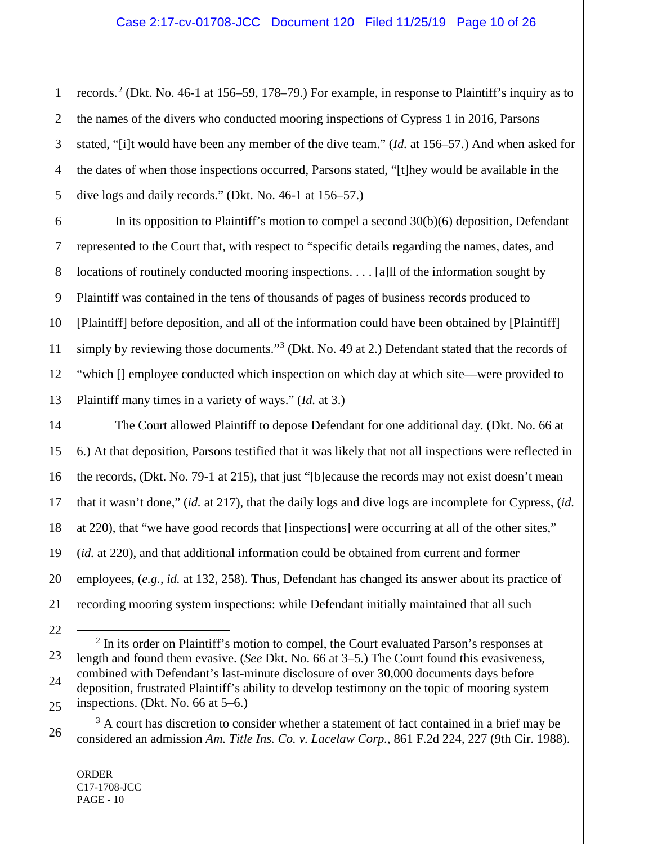records. [2](#page-9-0) (Dkt. No. 46-1 at 156–59, 178–79.) For example, in response to Plaintiff's inquiry as to the names of the divers who conducted mooring inspections of Cypress 1 in 2016, Parsons stated, "[i]t would have been any member of the dive team." (*Id.* at 156–57.) And when asked for the dates of when those inspections occurred, Parsons stated, "[t]hey would be available in the dive logs and daily records." (Dkt. No. 46-1 at 156–57.)

In its opposition to Plaintiff's motion to compel a second 30(b)(6) deposition, Defendant represented to the Court that, with respect to "specific details regarding the names, dates, and locations of routinely conducted mooring inspections. . . . [a]ll of the information sought by Plaintiff was contained in the tens of thousands of pages of business records produced to [Plaintiff] before deposition, and all of the information could have been obtained by [Plaintiff] simply by reviewing those documents."<sup>[3](#page-9-1)</sup> (Dkt. No. 49 at 2.) Defendant stated that the records of "which [] employee conducted which inspection on which day at which site—were provided to Plaintiff many times in a variety of ways." (*Id.* at 3.)

The Court allowed Plaintiff to depose Defendant for one additional day. (Dkt. No. 66 at 6.) At that deposition, Parsons testified that it was likely that not all inspections were reflected in the records, (Dkt. No. 79-1 at 215), that just "[b]ecause the records may not exist doesn't mean that it wasn't done," (*id.* at 217), that the daily logs and dive logs are incomplete for Cypress, (*id.* at 220), that "we have good records that [inspections] were occurring at all of the other sites," (*id.* at 220), and that additional information could be obtained from current and former employees, (*e.g.*, *id.* at 132, 258). Thus, Defendant has changed its answer about its practice of recording mooring system inspections: while Defendant initially maintained that all such

ORDER C17-1708-JCC PAGE - 10

<span id="page-9-0"></span> $2$  In its order on Plaintiff's motion to compel, the Court evaluated Parson's responses at length and found them evasive. (*See* Dkt. No. 66 at 3–5.) The Court found this evasiveness, combined with Defendant's last-minute disclosure of over 30,000 documents days before deposition, frustrated Plaintiff's ability to develop testimony on the topic of mooring system inspections. (Dkt. No. 66 at 5–6.)

<span id="page-9-1"></span> $3$  A court has discretion to consider whether a statement of fact contained in a brief may be considered an admission *Am. Title Ins. Co. v. Lacelaw Corp.*, 861 F.2d 224, 227 (9th Cir. 1988).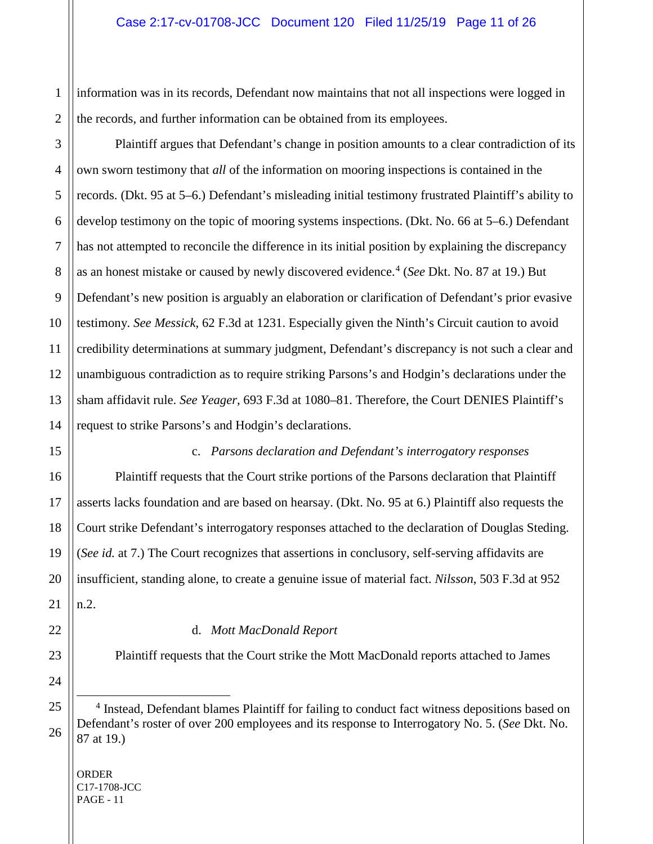information was in its records, Defendant now maintains that not all inspections were logged in the records, and further information can be obtained from its employees.

Plaintiff argues that Defendant's change in position amounts to a clear contradiction of its own sworn testimony that *all* of the information on mooring inspections is contained in the records. (Dkt. 95 at 5–6.) Defendant's misleading initial testimony frustrated Plaintiff's ability to develop testimony on the topic of mooring systems inspections. (Dkt. No. 66 at 5–6.) Defendant has not attempted to reconcile the difference in its initial position by explaining the discrepancy as an honest mistake or caused by newly discovered evidence. [4](#page-10-0) (*See* Dkt. No. 87 at 19.) But Defendant's new position is arguably an elaboration or clarification of Defendant's prior evasive testimony. *See Messick*, 62 F.3d at 1231. Especially given the Ninth's Circuit caution to avoid credibility determinations at summary judgment, Defendant's discrepancy is not such a clear and unambiguous contradiction as to require striking Parsons's and Hodgin's declarations under the sham affidavit rule. *See Yeager*, 693 F.3d at 1080–81. Therefore, the Court DENIES Plaintiff's request to strike Parsons's and Hodgin's declarations.

c. *Parsons declaration and Defendant's interrogatory responses*

Plaintiff requests that the Court strike portions of the Parsons declaration that Plaintiff asserts lacks foundation and are based on hearsay. (Dkt. No. 95 at 6.) Plaintiff also requests the Court strike Defendant's interrogatory responses attached to the declaration of Douglas Steding. (*See id.* at 7.) The Court recognizes that assertions in conclusory, self-serving affidavits are insufficient, standing alone, to create a genuine issue of material fact. *Nilsson*, 503 F.3d at 952 n.2.

d. *Mott MacDonald Report*

Plaintiff requests that the Court strike the Mott MacDonald reports attached to James

<span id="page-10-0"></span><sup>4</sup> Instead, Defendant blames Plaintiff for failing to conduct fact witness depositions based on Defendant's roster of over 200 employees and its response to Interrogatory No. 5. (*See* Dkt. No. 87 at 19.)

ORDER C17-1708-JCC PAGE - 11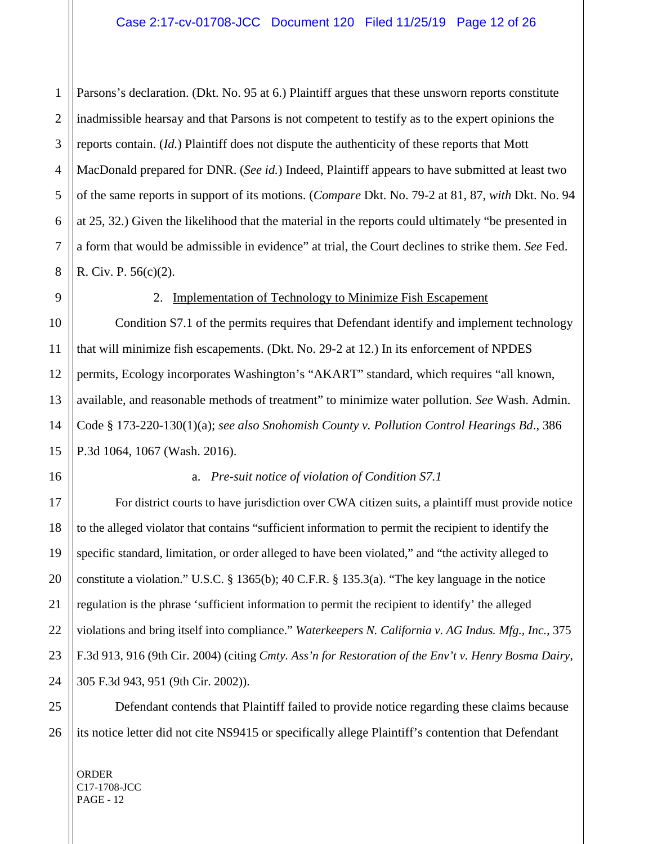Parsons's declaration. (Dkt. No. 95 at 6.) Plaintiff argues that these unsworn reports constitute inadmissible hearsay and that Parsons is not competent to testify as to the expert opinions the reports contain. (*Id.*) Plaintiff does not dispute the authenticity of these reports that Mott MacDonald prepared for DNR. (*See id.*) Indeed, Plaintiff appears to have submitted at least two of the same reports in support of its motions. (*Compare* Dkt. No. 79-2 at 81, 87, *with* Dkt. No. 94 at 25, 32.) Given the likelihood that the material in the reports could ultimately "be presented in a form that would be admissible in evidence" at trial, the Court declines to strike them. *See* Fed. R. Civ. P. 56(c)(2).

1

2

#### 2. Implementation of Technology to Minimize Fish Escapement

Condition S7.1 of the permits requires that Defendant identify and implement technology that will minimize fish escapements. (Dkt. No. 29-2 at 12.) In its enforcement of NPDES permits, Ecology incorporates Washington's "AKART" standard, which requires "all known, available, and reasonable methods of treatment" to minimize water pollution. *See* Wash. Admin. Code § 173-220-130(1)(a); *see also Snohomish County v. Pollution Control Hearings Bd*., 386 P.3d 1064, 1067 (Wash. 2016).

#### a. *Pre-suit notice of violation of Condition S7.1*

For district courts to have jurisdiction over CWA citizen suits, a plaintiff must provide notice to the alleged violator that contains "sufficient information to permit the recipient to identify the specific standard, limitation, or order alleged to have been violated," and "the activity alleged to constitute a violation." U.S.C. § 1365(b); 40 C.F.R. § 135.3(a). "The key language in the notice regulation is the phrase 'sufficient information to permit the recipient to identify' the alleged violations and bring itself into compliance." *Waterkeepers N. California v. AG Indus. Mfg., Inc.*, 375 F.3d 913, 916 (9th Cir. 2004) (citing *Cmty. Ass'n for Restoration of the Env't v. Henry Bosma Dairy*, 305 F.3d 943, 951 (9th Cir. 2002)).

Defendant contends that Plaintiff failed to provide notice regarding these claims because its notice letter did not cite NS9415 or specifically allege Plaintiff's contention that Defendant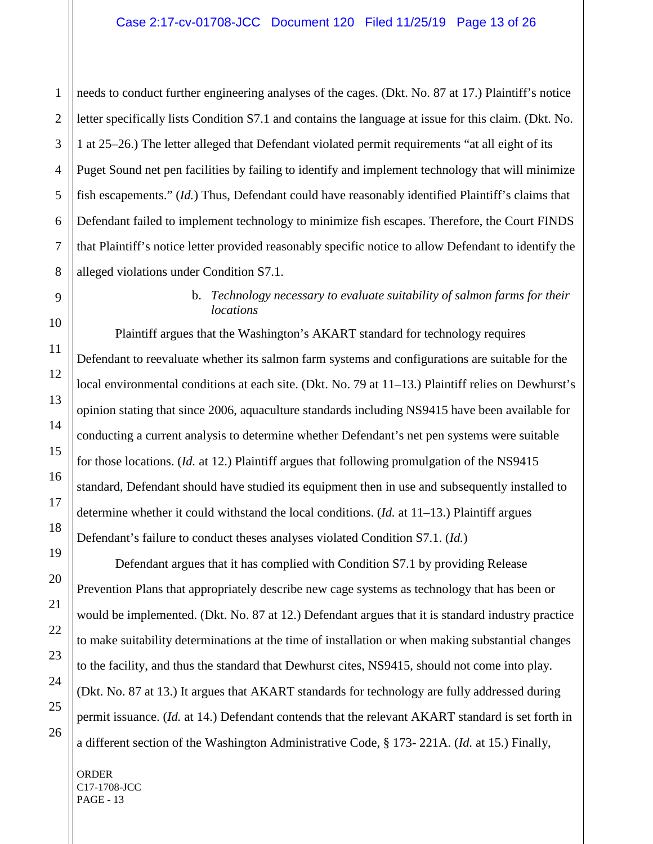needs to conduct further engineering analyses of the cages. (Dkt. No. 87 at 17.) Plaintiff's notice letter specifically lists Condition S7.1 and contains the language at issue for this claim. (Dkt. No. 1 at 25–26.) The letter alleged that Defendant violated permit requirements "at all eight of its Puget Sound net pen facilities by failing to identify and implement technology that will minimize fish escapements." (*Id.*) Thus, Defendant could have reasonably identified Plaintiff's claims that Defendant failed to implement technology to minimize fish escapes. Therefore, the Court FINDS that Plaintiff's notice letter provided reasonably specific notice to allow Defendant to identify the alleged violations under Condition S7.1.

## b. *Technology necessary to evaluate suitability of salmon farms for their locations*

Plaintiff argues that the Washington's AKART standard for technology requires Defendant to reevaluate whether its salmon farm systems and configurations are suitable for the local environmental conditions at each site. (Dkt. No. 79 at 11–13.) Plaintiff relies on Dewhurst's opinion stating that since 2006, aquaculture standards including NS9415 have been available for conducting a current analysis to determine whether Defendant's net pen systems were suitable for those locations. (*Id.* at 12.) Plaintiff argues that following promulgation of the NS9415 standard, Defendant should have studied its equipment then in use and subsequently installed to determine whether it could withstand the local conditions. (*Id.* at 11–13.) Plaintiff argues Defendant's failure to conduct theses analyses violated Condition S7.1. (*Id.*)

Defendant argues that it has complied with Condition S7.1 by providing Release Prevention Plans that appropriately describe new cage systems as technology that has been or would be implemented. (Dkt. No. 87 at 12.) Defendant argues that it is standard industry practice to make suitability determinations at the time of installation or when making substantial changes to the facility, and thus the standard that Dewhurst cites, NS9415, should not come into play. (Dkt. No. 87 at 13.) It argues that AKART standards for technology are fully addressed during permit issuance. (*Id.* at 14.) Defendant contends that the relevant AKART standard is set forth in a different section of the Washington Administrative Code, § 173- 221A. (*Id.* at 15.) Finally,

ORDER C17-1708-JCC PAGE - 13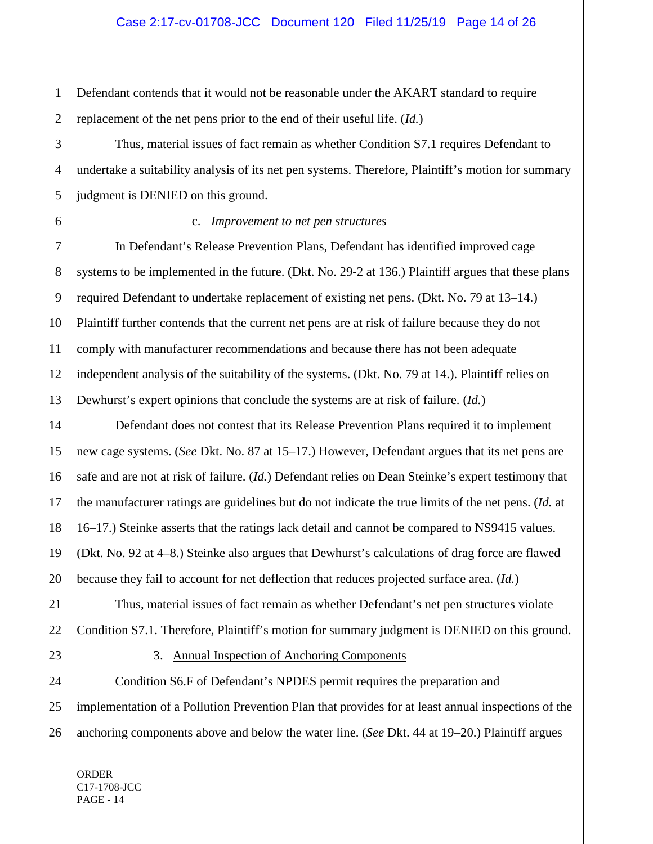1 Defendant contends that it would not be reasonable under the AKART standard to require replacement of the net pens prior to the end of their useful life. (*Id.*)

Thus, material issues of fact remain as whether Condition S7.1 requires Defendant to undertake a suitability analysis of its net pen systems. Therefore, Plaintiff's motion for summary judgment is DENIED on this ground.

#### c. *Improvement to net pen structures*

In Defendant's Release Prevention Plans, Defendant has identified improved cage systems to be implemented in the future. (Dkt. No. 29-2 at 136.) Plaintiff argues that these plans required Defendant to undertake replacement of existing net pens. (Dkt. No. 79 at 13–14.) Plaintiff further contends that the current net pens are at risk of failure because they do not comply with manufacturer recommendations and because there has not been adequate independent analysis of the suitability of the systems. (Dkt. No. 79 at 14.). Plaintiff relies on Dewhurst's expert opinions that conclude the systems are at risk of failure. (*Id.*)

Defendant does not contest that its Release Prevention Plans required it to implement new cage systems. (*See* Dkt. No. 87 at 15–17.) However, Defendant argues that its net pens are safe and are not at risk of failure. (*Id.*) Defendant relies on Dean Steinke's expert testimony that the manufacturer ratings are guidelines but do not indicate the true limits of the net pens. (*Id.* at 16–17.) Steinke asserts that the ratings lack detail and cannot be compared to NS9415 values. (Dkt. No. 92 at 4–8.) Steinke also argues that Dewhurst's calculations of drag force are flawed because they fail to account for net deflection that reduces projected surface area. (*Id.*)

Thus, material issues of fact remain as whether Defendant's net pen structures violate Condition S7.1. Therefore, Plaintiff's motion for summary judgment is DENIED on this ground.

#### 3. Annual Inspection of Anchoring Components

Condition S6.F of Defendant's NPDES permit requires the preparation and implementation of a Pollution Prevention Plan that provides for at least annual inspections of the anchoring components above and below the water line. (*See* Dkt. 44 at 19–20.) Plaintiff argues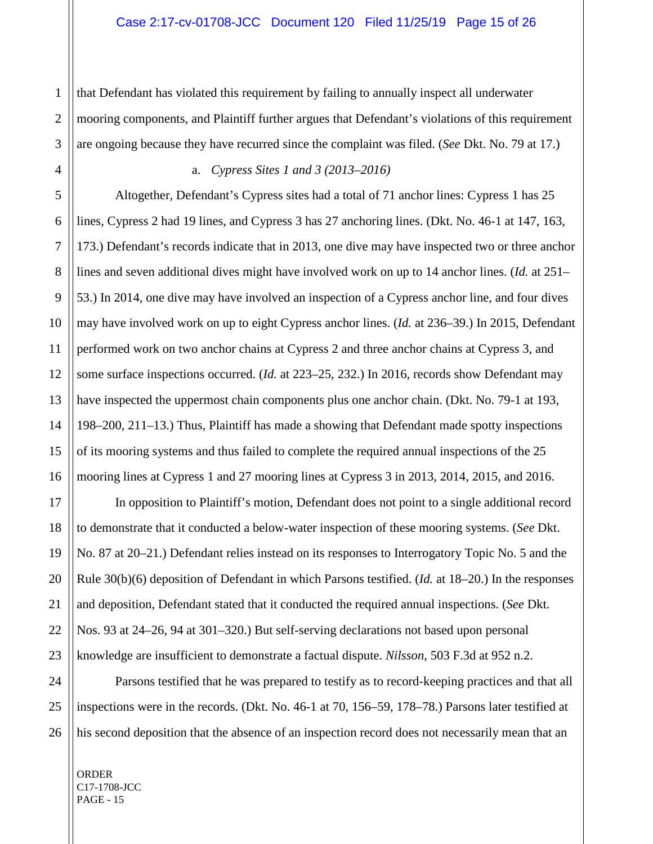that Defendant has violated this requirement by failing to annually inspect all underwater mooring components, and Plaintiff further argues that Defendant's violations of this requirement are ongoing because they have recurred since the complaint was filed. (*See* Dkt. No. 79 at 17.)

#### a. *Cypress Sites 1 and 3 (2013–2016)*

Altogether, Defendant's Cypress sites had a total of 71 anchor lines: Cypress 1 has 25 lines, Cypress 2 had 19 lines, and Cypress 3 has 27 anchoring lines. (Dkt. No. 46-1 at 147, 163, 173.) Defendant's records indicate that in 2013, one dive may have inspected two or three anchor lines and seven additional dives might have involved work on up to 14 anchor lines. (*Id.* at 251– 53.) In 2014, one dive may have involved an inspection of a Cypress anchor line, and four dives may have involved work on up to eight Cypress anchor lines. (*Id.* at 236–39.) In 2015, Defendant performed work on two anchor chains at Cypress 2 and three anchor chains at Cypress 3, and some surface inspections occurred. (*Id.* at 223–25, 232.) In 2016, records show Defendant may have inspected the uppermost chain components plus one anchor chain. (Dkt. No. 79-1 at 193, 198–200, 211–13.) Thus, Plaintiff has made a showing that Defendant made spotty inspections of its mooring systems and thus failed to complete the required annual inspections of the 25 mooring lines at Cypress 1 and 27 mooring lines at Cypress 3 in 2013, 2014, 2015, and 2016.

In opposition to Plaintiff's motion, Defendant does not point to a single additional record to demonstrate that it conducted a below-water inspection of these mooring systems. (*See* Dkt. No. 87 at 20–21.) Defendant relies instead on its responses to Interrogatory Topic No. 5 and the Rule 30(b)(6) deposition of Defendant in which Parsons testified. (*Id.* at 18–20.) In the responses and deposition, Defendant stated that it conducted the required annual inspections. (*See* Dkt. Nos. 93 at 24–26, 94 at 301–320.) But self-serving declarations not based upon personal knowledge are insufficient to demonstrate a factual dispute. *Nilsson*, 503 F.3d at 952 n.2.

Parsons testified that he was prepared to testify as to record-keeping practices and that all inspections were in the records. (Dkt. No. 46-1 at 70, 156–59, 178–78.) Parsons later testified at his second deposition that the absence of an inspection record does not necessarily mean that an

ORDER C17-1708-JCC PAGE - 15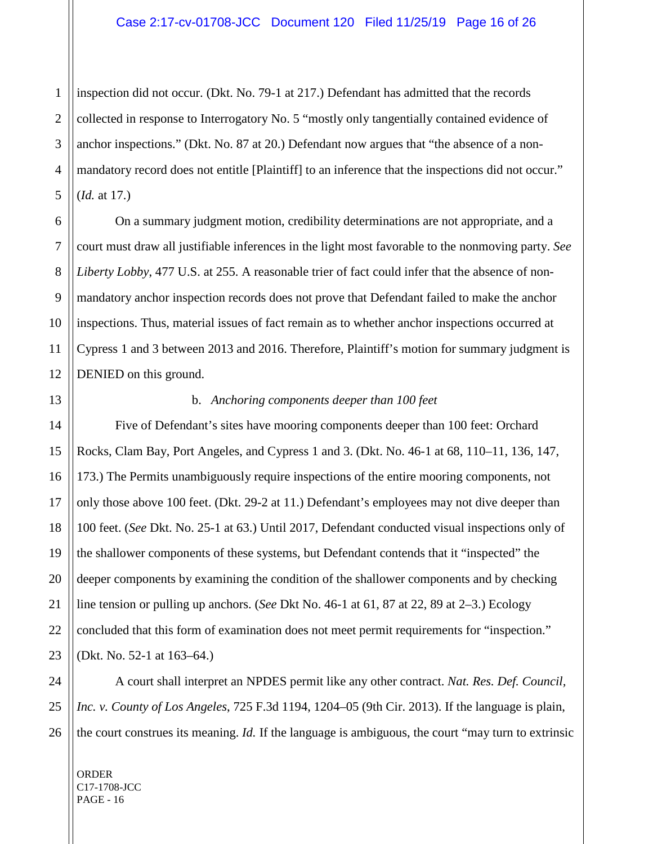1 inspection did not occur. (Dkt. No. 79-1 at 217.) Defendant has admitted that the records collected in response to Interrogatory No. 5 "mostly only tangentially contained evidence of anchor inspections." (Dkt. No. 87 at 20.) Defendant now argues that "the absence of a nonmandatory record does not entitle [Plaintiff] to an inference that the inspections did not occur." (*Id.* at 17.)

On a summary judgment motion, credibility determinations are not appropriate, and a court must draw all justifiable inferences in the light most favorable to the nonmoving party. *See Liberty Lobby*, 477 U.S. at 255. A reasonable trier of fact could infer that the absence of nonmandatory anchor inspection records does not prove that Defendant failed to make the anchor inspections. Thus, material issues of fact remain as to whether anchor inspections occurred at Cypress 1 and 3 between 2013 and 2016. Therefore, Plaintiff's motion for summary judgment is DENIED on this ground.

#### b. *Anchoring components deeper than 100 feet*

Five of Defendant's sites have mooring components deeper than 100 feet: Orchard Rocks, Clam Bay, Port Angeles, and Cypress 1 and 3. (Dkt. No. 46-1 at 68, 110–11, 136, 147, 173.) The Permits unambiguously require inspections of the entire mooring components, not only those above 100 feet. (Dkt. 29-2 at 11.) Defendant's employees may not dive deeper than 100 feet. (*See* Dkt. No. 25-1 at 63.) Until 2017, Defendant conducted visual inspections only of the shallower components of these systems, but Defendant contends that it "inspected" the deeper components by examining the condition of the shallower components and by checking line tension or pulling up anchors. (*See* Dkt No. 46-1 at 61, 87 at 22, 89 at 2–3.) Ecology concluded that this form of examination does not meet permit requirements for "inspection." (Dkt. No. 52-1 at 163–64.)

A court shall interpret an NPDES permit like any other contract. *Nat. Res. Def. Council, Inc. v. County of Los Angeles*, 725 F.3d 1194, 1204–05 (9th Cir. 2013). If the language is plain, the court construes its meaning. *Id.* If the language is ambiguous, the court "may turn to extrinsic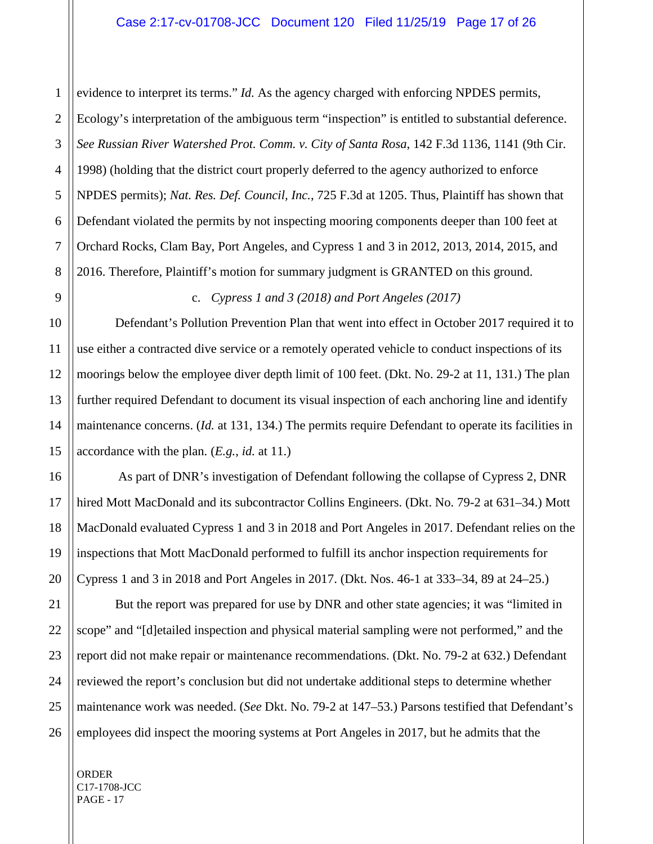1 evidence to interpret its terms." *Id.* As the agency charged with enforcing NPDES permits, Ecology's interpretation of the ambiguous term "inspection" is entitled to substantial deference. *See Russian River Watershed Prot. Comm. v. City of Santa Rosa*, 142 F.3d 1136, 1141 (9th Cir. 1998) (holding that the district court properly deferred to the agency authorized to enforce NPDES permits); *Nat. Res. Def. Council, Inc.*, 725 F.3d at 1205. Thus, Plaintiff has shown that Defendant violated the permits by not inspecting mooring components deeper than 100 feet at Orchard Rocks, Clam Bay, Port Angeles, and Cypress 1 and 3 in 2012, 2013, 2014, 2015, and 2016. Therefore, Plaintiff's motion for summary judgment is GRANTED on this ground.

c. *Cypress 1 and 3 (2018) and Port Angeles (2017)*

Defendant's Pollution Prevention Plan that went into effect in October 2017 required it to use either a contracted dive service or a remotely operated vehicle to conduct inspections of its moorings below the employee diver depth limit of 100 feet. (Dkt. No. 29-2 at 11, 131.) The plan further required Defendant to document its visual inspection of each anchoring line and identify maintenance concerns. (*Id.* at 131, 134.) The permits require Defendant to operate its facilities in accordance with the plan. (*E.g.*, *id.* at 11.)

As part of DNR's investigation of Defendant following the collapse of Cypress 2, DNR hired Mott MacDonald and its subcontractor Collins Engineers. (Dkt. No. 79-2 at 631–34.) Mott MacDonald evaluated Cypress 1 and 3 in 2018 and Port Angeles in 2017. Defendant relies on the inspections that Mott MacDonald performed to fulfill its anchor inspection requirements for Cypress 1 and 3 in 2018 and Port Angeles in 2017. (Dkt. Nos. 46-1 at 333–34, 89 at 24–25.)

But the report was prepared for use by DNR and other state agencies; it was "limited in scope" and "[d]etailed inspection and physical material sampling were not performed," and the report did not make repair or maintenance recommendations. (Dkt. No. 79-2 at 632.) Defendant reviewed the report's conclusion but did not undertake additional steps to determine whether maintenance work was needed. (*See* Dkt. No. 79-2 at 147–53.) Parsons testified that Defendant's employees did inspect the mooring systems at Port Angeles in 2017, but he admits that the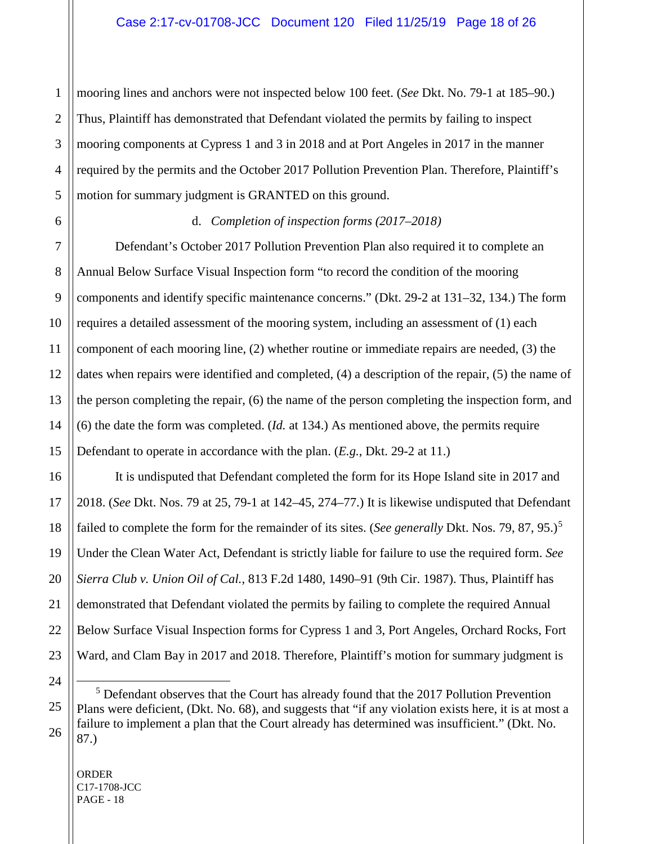mooring lines and anchors were not inspected below 100 feet. (*See* Dkt. No. 79-1 at 185–90.) Thus, Plaintiff has demonstrated that Defendant violated the permits by failing to inspect mooring components at Cypress 1 and 3 in 2018 and at Port Angeles in 2017 in the manner required by the permits and the October 2017 Pollution Prevention Plan. Therefore, Plaintiff's motion for summary judgment is GRANTED on this ground.

### d. *Completion of inspection forms (2017–2018)*

Defendant's October 2017 Pollution Prevention Plan also required it to complete an Annual Below Surface Visual Inspection form "to record the condition of the mooring components and identify specific maintenance concerns." (Dkt. 29-2 at 131–32, 134.) The form requires a detailed assessment of the mooring system, including an assessment of (1) each component of each mooring line, (2) whether routine or immediate repairs are needed, (3) the dates when repairs were identified and completed, (4) a description of the repair, (5) the name of the person completing the repair, (6) the name of the person completing the inspection form, and (6) the date the form was completed. (*Id.* at 134.) As mentioned above, the permits require Defendant to operate in accordance with the plan. (*E.g.*, Dkt. 29-2 at 11.)

It is undisputed that Defendant completed the form for its Hope Island site in 2017 and 2018. (*See* Dkt. Nos. 79 at 25, 79-1 at 142–45, 274–77.) It is likewise undisputed that Defendant failed to complete the form for the remainder of its sites. (*See generally Dkt. Nos.* 79, 87, 9[5](#page-17-0).)<sup>5</sup> Under the Clean Water Act, Defendant is strictly liable for failure to use the required form. *See Sierra Club v. Union Oil of Cal.*, 813 F.2d 1480, 1490–91 (9th Cir. 1987). Thus, Plaintiff has demonstrated that Defendant violated the permits by failing to complete the required Annual Below Surface Visual Inspection forms for Cypress 1 and 3, Port Angeles, Orchard Rocks, Fort Ward, and Clam Bay in 2017 and 2018. Therefore, Plaintiff's motion for summary judgment is

ORDER C17-1708-JCC PAGE - 18

<span id="page-17-0"></span> <sup>5</sup> Defendant observes that the Court has already found that the 2017 Pollution Prevention Plans were deficient, (Dkt. No. 68), and suggests that "if any violation exists here, it is at most a failure to implement a plan that the Court already has determined was insufficient." (Dkt. No. 87.)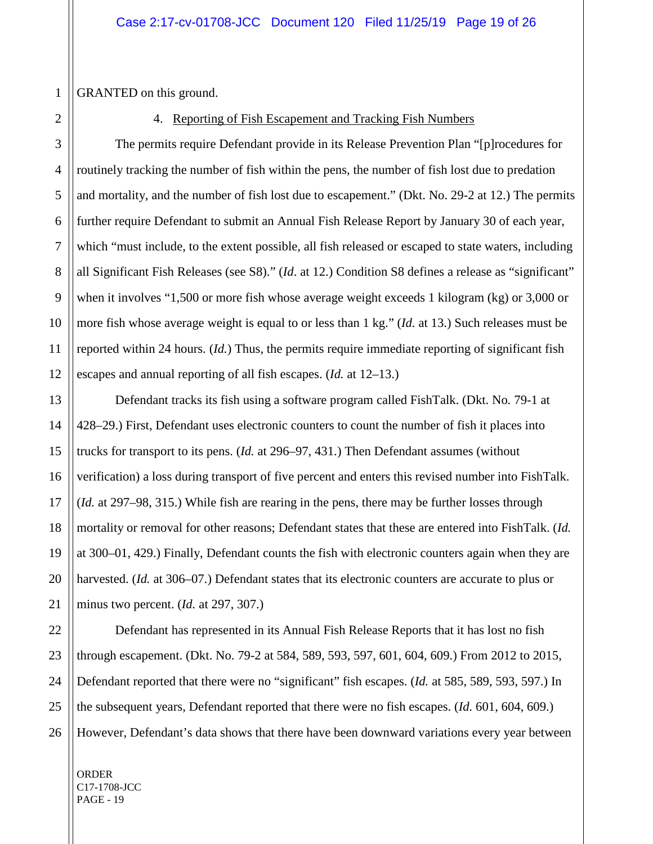GRANTED on this ground.

#### 4. Reporting of Fish Escapement and Tracking Fish Numbers

The permits require Defendant provide in its Release Prevention Plan "[p]rocedures for routinely tracking the number of fish within the pens, the number of fish lost due to predation and mortality, and the number of fish lost due to escapement." (Dkt. No. 29-2 at 12.) The permits further require Defendant to submit an Annual Fish Release Report by January 30 of each year, which "must include, to the extent possible, all fish released or escaped to state waters, including all Significant Fish Releases (see S8)." (*Id*. at 12.) Condition S8 defines a release as "significant" when it involves "1,500 or more fish whose average weight exceeds 1 kilogram (kg) or 3,000 or more fish whose average weight is equal to or less than 1 kg." (*Id.* at 13.) Such releases must be reported within 24 hours. (*Id.*) Thus, the permits require immediate reporting of significant fish escapes and annual reporting of all fish escapes. (*Id.* at 12–13.)

Defendant tracks its fish using a software program called FishTalk. (Dkt. No*.* 79-1 at 428–29.) First, Defendant uses electronic counters to count the number of fish it places into trucks for transport to its pens. (*Id.* at 296–97, 431.) Then Defendant assumes (without verification) a loss during transport of five percent and enters this revised number into FishTalk. (*Id.* at 297–98, 315.) While fish are rearing in the pens, there may be further losses through mortality or removal for other reasons; Defendant states that these are entered into FishTalk. (*Id.* at 300–01, 429.) Finally, Defendant counts the fish with electronic counters again when they are harvested. (*Id.* at 306–07.) Defendant states that its electronic counters are accurate to plus or minus two percent. (*Id.* at 297, 307.)

Defendant has represented in its Annual Fish Release Reports that it has lost no fish through escapement. (Dkt. No. 79-2 at 584, 589, 593, 597, 601, 604, 609.) From 2012 to 2015, Defendant reported that there were no "significant" fish escapes. (*Id.* at 585, 589, 593, 597.) In the subsequent years, Defendant reported that there were no fish escapes. (*Id.* 601, 604, 609.) However, Defendant's data shows that there have been downward variations every year between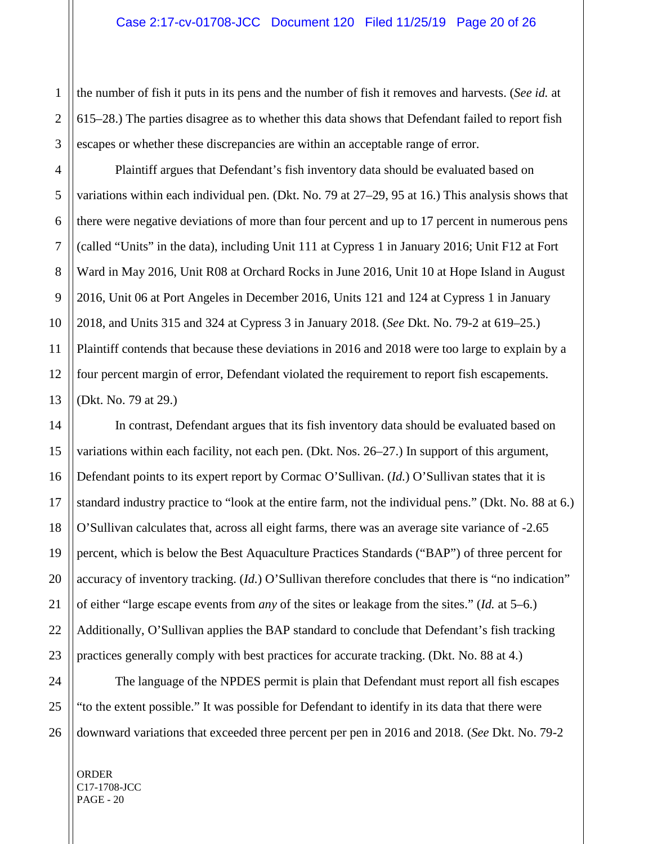the number of fish it puts in its pens and the number of fish it removes and harvests. (*See id.* at 615–28.) The parties disagree as to whether this data shows that Defendant failed to report fish escapes or whether these discrepancies are within an acceptable range of error.

Plaintiff argues that Defendant's fish inventory data should be evaluated based on variations within each individual pen. (Dkt. No. 79 at 27–29, 95 at 16.) This analysis shows that there were negative deviations of more than four percent and up to 17 percent in numerous pens (called "Units" in the data), including Unit 111 at Cypress 1 in January 2016; Unit F12 at Fort Ward in May 2016, Unit R08 at Orchard Rocks in June 2016, Unit 10 at Hope Island in August 2016, Unit 06 at Port Angeles in December 2016, Units 121 and 124 at Cypress 1 in January 2018, and Units 315 and 324 at Cypress 3 in January 2018. (*See* Dkt. No. 79-2 at 619–25.) Plaintiff contends that because these deviations in 2016 and 2018 were too large to explain by a four percent margin of error, Defendant violated the requirement to report fish escapements. (Dkt. No. 79 at 29.)

In contrast, Defendant argues that its fish inventory data should be evaluated based on variations within each facility, not each pen. (Dkt. Nos. 26–27.) In support of this argument, Defendant points to its expert report by Cormac O'Sullivan. (*Id.*) O'Sullivan states that it is standard industry practice to "look at the entire farm, not the individual pens." (Dkt. No. 88 at 6.) O'Sullivan calculates that, across all eight farms, there was an average site variance of -2.65 percent, which is below the Best Aquaculture Practices Standards ("BAP") of three percent for accuracy of inventory tracking. (*Id.*) O'Sullivan therefore concludes that there is "no indication" of either "large escape events from *any* of the sites or leakage from the sites." (*Id.* at 5–6.) Additionally, O'Sullivan applies the BAP standard to conclude that Defendant's fish tracking practices generally comply with best practices for accurate tracking. (Dkt. No. 88 at 4.)

The language of the NPDES permit is plain that Defendant must report all fish escapes "to the extent possible." It was possible for Defendant to identify in its data that there were downward variations that exceeded three percent per pen in 2016 and 2018. (*See* Dkt. No. 79-2

ORDER C17-1708-JCC PAGE - 20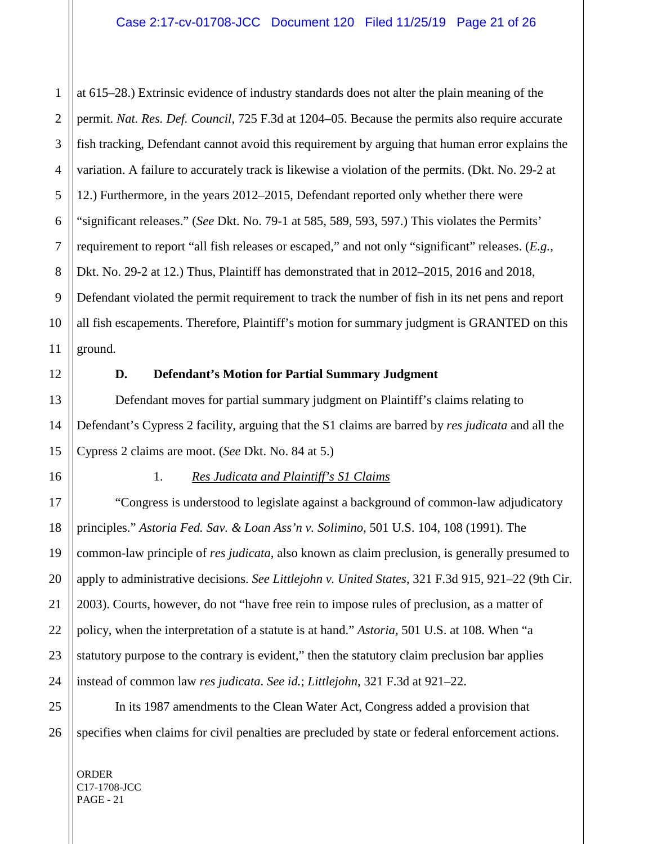1 2 at 615–28.) Extrinsic evidence of industry standards does not alter the plain meaning of the permit. *Nat. Res. Def. Council*, 725 F.3d at 1204–05. Because the permits also require accurate fish tracking, Defendant cannot avoid this requirement by arguing that human error explains the variation. A failure to accurately track is likewise a violation of the permits. (Dkt. No. 29-2 at 12.) Furthermore, in the years 2012–2015, Defendant reported only whether there were "significant releases." (*See* Dkt. No. 79-1 at 585, 589, 593, 597.) This violates the Permits' requirement to report "all fish releases or escaped," and not only "significant" releases. (*E.g.*, Dkt. No. 29-2 at 12.) Thus, Plaintiff has demonstrated that in 2012–2015, 2016 and 2018, Defendant violated the permit requirement to track the number of fish in its net pens and report all fish escapements. Therefore, Plaintiff's motion for summary judgment is GRANTED on this ground.

#### **D. Defendant's Motion for Partial Summary Judgment**

Defendant moves for partial summary judgment on Plaintiff's claims relating to Defendant's Cypress 2 facility, arguing that the S1 claims are barred by *res judicata* and all the Cypress 2 claims are moot. (*See* Dkt. No. 84 at 5.)

# 1. *Res Judicata and Plaintiff's S1 Claims*

"Congress is understood to legislate against a background of common-law adjudicatory principles." *Astoria Fed. Sav. & Loan Ass'n v. Solimino,* 501 U.S. 104, 108 (1991). The common-law principle of *res judicata*, also known as claim preclusion, is generally presumed to apply to administrative decisions. *See Littlejohn v. United States*, 321 F.3d 915, 921–22 (9th Cir. 2003). Courts, however, do not "have free rein to impose rules of preclusion, as a matter of policy, when the interpretation of a statute is at hand." *Astoria,* 501 U.S. at 108. When "a statutory purpose to the contrary is evident," then the statutory claim preclusion bar applies instead of common law *res judicata*. *See id.*; *Littlejohn*, 321 F.3d at 921–22.

In its 1987 amendments to the Clean Water Act, Congress added a provision that specifies when claims for civil penalties are precluded by state or federal enforcement actions.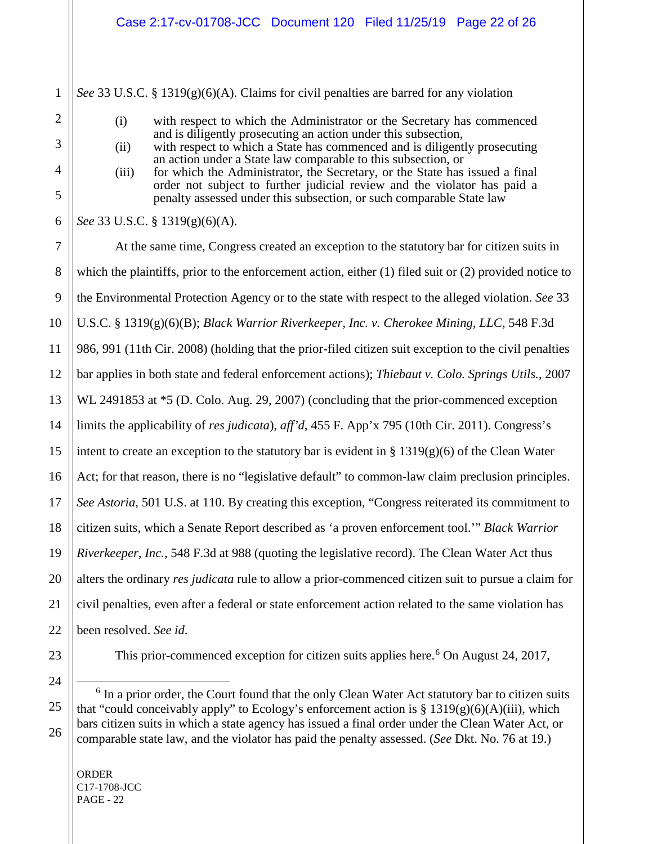*See* 33 U.S.C. § 1319(g)(6)(A). Claims for civil penalties are barred for any violation

- (i) with respect to which the Administrator or the Secretary has commenced and is diligently prosecuting an action under this subsection,
- (ii) with respect to which a State has commenced and is diligently prosecuting an action under a State law comparable to this subsection, or
- (iii) for which the Administrator, the Secretary, or the State has issued a final order not subject to further judicial review and the violator has paid a penalty assessed under this subsection, or such comparable State law

*See* 33 U.S.C. § 1319(g)(6)(A).

At the same time, Congress created an exception to the statutory bar for citizen suits in which the plaintiffs, prior to the enforcement action, either (1) filed suit or (2) provided notice to the Environmental Protection Agency or to the state with respect to the alleged violation. *See* 33 U.S.C. § 1319(g)(6)(B); *Black Warrior Riverkeeper, Inc. v. Cherokee Mining, LLC*, 548 F.3d 986, 991 (11th Cir. 2008) (holding that the prior-filed citizen suit exception to the civil penalties bar applies in both state and federal enforcement actions); *Thiebaut v. Colo. Springs Utils.*, 2007 WL 2491853 at  $*5$  (D. Colo. Aug. 29, 2007) (concluding that the prior-commenced exception limits the applicability of *res judicata*), *aff'd*, 455 F. App'x 795 (10th Cir. 2011). Congress's intent to create an exception to the statutory bar is evident in  $\S 1319(g)(6)$  of the Clean Water Act; for that reason, there is no "legislative default" to common-law claim preclusion principles. *See Astoria*, 501 U.S. at 110. By creating this exception, "Congress reiterated its commitment to citizen suits, which a Senate Report described as 'a proven enforcement tool.'" *Black Warrior Riverkeeper, Inc.*, 548 F.3d at 988 (quoting the legislative record). The Clean Water Act thus alters the ordinary *res judicata* rule to allow a prior-commenced citizen suit to pursue a claim for civil penalties, even after a federal or state enforcement action related to the same violation has been resolved. *See id*.

<span id="page-21-0"></span>

This prior-commenced exception for citizen suits applies here.<sup>[6](#page-21-0)</sup> On August 24, 2017,

 $6$  In a prior order, the Court found that the only Clean Water Act statutory bar to citizen suits that "could conceivably apply" to Ecology's enforcement action is  $\S 1319(g)(6)(A)(iii)$ , which bars citizen suits in which a state agency has issued a final order under the Clean Water Act, or comparable state law, and the violator has paid the penalty assessed. (*See* Dkt. No. 76 at 19.)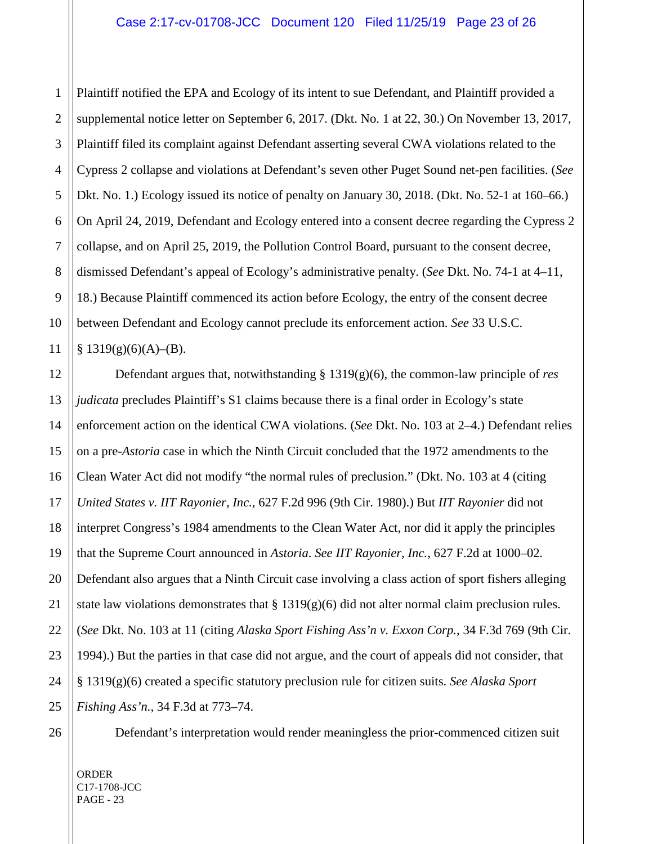1 2 3 4 5 6 7 8 9 10 11 Plaintiff notified the EPA and Ecology of its intent to sue Defendant, and Plaintiff provided a supplemental notice letter on September 6, 2017. (Dkt. No. 1 at 22, 30.) On November 13, 2017, Plaintiff filed its complaint against Defendant asserting several CWA violations related to the Cypress 2 collapse and violations at Defendant's seven other Puget Sound net-pen facilities. (*See*  Dkt. No. 1.) Ecology issued its notice of penalty on January 30, 2018. (Dkt. No. 52-1 at 160–66.) On April 24, 2019, Defendant and Ecology entered into a consent decree regarding the Cypress 2 collapse, and on April 25, 2019, the Pollution Control Board, pursuant to the consent decree, dismissed Defendant's appeal of Ecology's administrative penalty. (*See* Dkt. No. 74-1 at 4–11, 18.) Because Plaintiff commenced its action before Ecology, the entry of the consent decree between Defendant and Ecology cannot preclude its enforcement action. *See* 33 U.S.C.  $§ 1319(g)(6)(A)–(B).$ 

12 13 14 15 16 17 18 19 20 21 22 23 24 25 Defendant argues that, notwithstanding § 1319(g)(6), the common-law principle of *res judicata* precludes Plaintiff's S1 claims because there is a final order in Ecology's state enforcement action on the identical CWA violations. (*See* Dkt. No. 103 at 2–4.) Defendant relies on a pre-*Astoria* case in which the Ninth Circuit concluded that the 1972 amendments to the Clean Water Act did not modify "the normal rules of preclusion." (Dkt. No. 103 at 4 (citing *United States v. IIT Rayonier, Inc.*, 627 F.2d 996 (9th Cir. 1980).) But *IIT Rayonier* did not interpret Congress's 1984 amendments to the Clean Water Act, nor did it apply the principles that the Supreme Court announced in *Astoria*. *See IIT Rayonier, Inc.*, 627 F.2d at 1000–02*.* Defendant also argues that a Ninth Circuit case involving a class action of sport fishers alleging state law violations demonstrates that  $\S 1319(g)(6)$  did not alter normal claim preclusion rules. (*See* Dkt. No. 103 at 11 (citing *Alaska Sport Fishing Ass'n v. Exxon Corp.*, 34 F.3d 769 (9th Cir. 1994).) But the parties in that case did not argue, and the court of appeals did not consider, that § 1319(g)(6) created a specific statutory preclusion rule for citizen suits. *See Alaska Sport Fishing Ass'n.*, 34 F.3d at 773–74.

26

Defendant's interpretation would render meaningless the prior-commenced citizen suit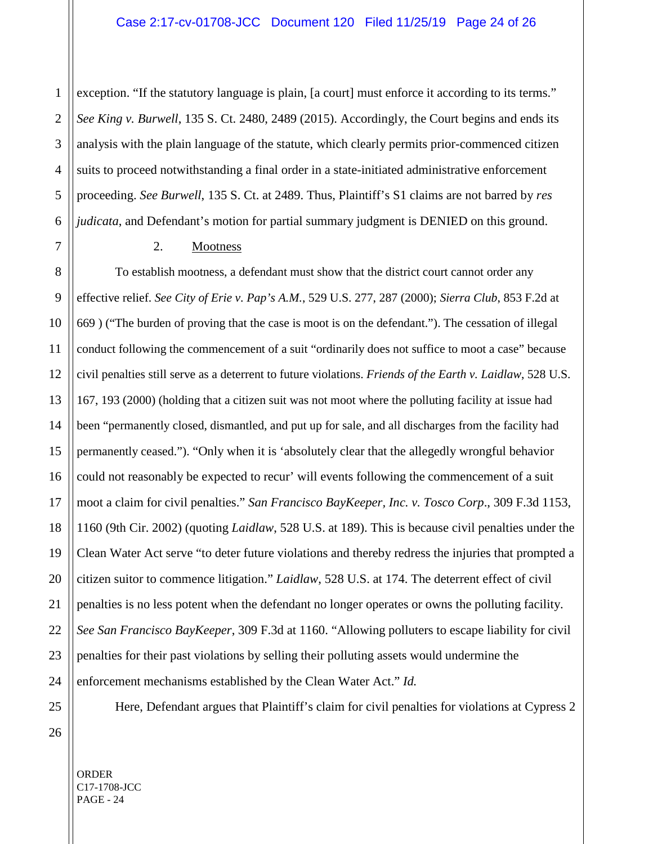1 2 3 4 5 6 exception. "If the statutory language is plain, [a court] must enforce it according to its terms." *See King v. Burwell*, 135 S. Ct. 2480, 2489 (2015). Accordingly, the Court begins and ends its analysis with the plain language of the statute, which clearly permits prior-commenced citizen suits to proceed notwithstanding a final order in a state-initiated administrative enforcement proceeding. *See Burwell*, 135 S. Ct. at 2489. Thus, Plaintiff's S1 claims are not barred by *res judicata*, and Defendant's motion for partial summary judgment is DENIED on this ground.

#### 2. Mootness

8 9 10 11 12 13 14 15 16 17 18 19 20 21 22 23 24 To establish mootness, a defendant must show that the district court cannot order any effective relief. *See City of Erie v. Pap's A.M.*, 529 U.S. 277, 287 (2000); *Sierra Club*, 853 F.2d at 669 ) ("The burden of proving that the case is moot is on the defendant."). The cessation of illegal conduct following the commencement of a suit "ordinarily does not suffice to moot a case" because civil penalties still serve as a deterrent to future violations. *Friends of the Earth v. Laidlaw*, 528 U.S. 167, 193 (2000) (holding that a citizen suit was not moot where the polluting facility at issue had been "permanently closed, dismantled, and put up for sale, and all discharges from the facility had permanently ceased."). "Only when it is 'absolutely clear that the allegedly wrongful behavior could not reasonably be expected to recur' will events following the commencement of a suit moot a claim for civil penalties." *San Francisco BayKeeper, Inc. v. Tosco Corp*., 309 F.3d 1153, 1160 (9th Cir. 2002) (quoting *Laidlaw*, 528 U.S. at 189). This is because civil penalties under the Clean Water Act serve "to deter future violations and thereby redress the injuries that prompted a citizen suitor to commence litigation." *Laidlaw*, 528 U.S. at 174. The deterrent effect of civil penalties is no less potent when the defendant no longer operates or owns the polluting facility. *See San Francisco BayKeeper*, 309 F.3d at 1160. "Allowing polluters to escape liability for civil penalties for their past violations by selling their polluting assets would undermine the enforcement mechanisms established by the Clean Water Act." *Id.*

Here, Defendant argues that Plaintiff's claim for civil penalties for violations at Cypress 2

26

25

7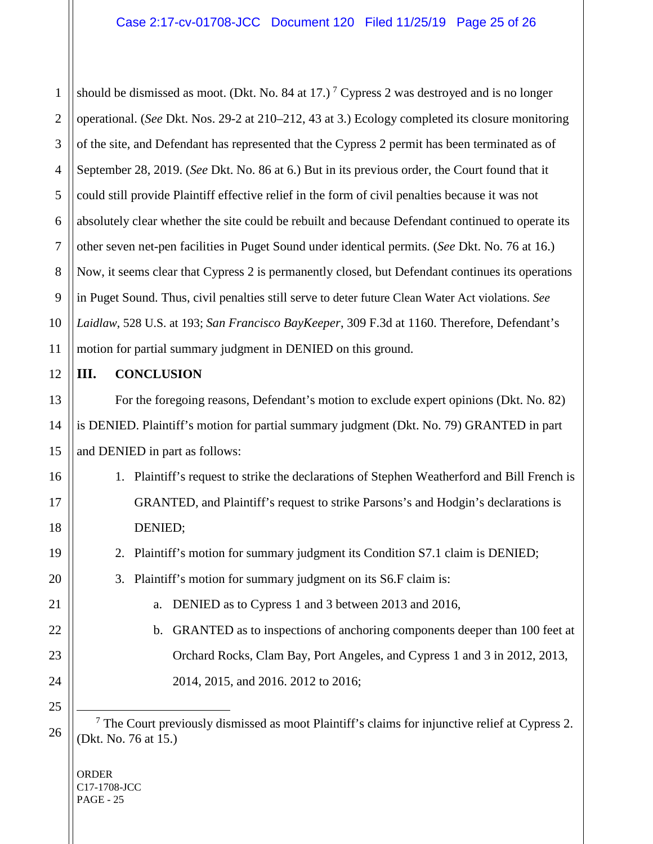1 2 should be dismissed as moot. (Dkt. No. 84 at 1[7](#page-24-0).)<sup>7</sup> Cypress 2 was destroyed and is no longer operational. (*See* Dkt. Nos. 29-2 at 210–212, 43 at 3.) Ecology completed its closure monitoring of the site, and Defendant has represented that the Cypress 2 permit has been terminated as of September 28, 2019. (*See* Dkt. No. 86 at 6.) But in its previous order, the Court found that it could still provide Plaintiff effective relief in the form of civil penalties because it was not absolutely clear whether the site could be rebuilt and because Defendant continued to operate its other seven net-pen facilities in Puget Sound under identical permits. (*See* Dkt. No. 76 at 16.) Now, it seems clear that Cypress 2 is permanently closed, but Defendant continues its operations in Puget Sound. Thus, civil penalties still serve to deter future Clean Water Act violations. *See Laidlaw*, 528 U.S. at 193; *San Francisco BayKeeper*, 309 F.3d at 1160. Therefore, Defendant's motion for partial summary judgment in DENIED on this ground.

#### **III. CONCLUSION**

For the foregoing reasons, Defendant's motion to exclude expert opinions (Dkt. No. 82) is DENIED. Plaintiff's motion for partial summary judgment (Dkt. No. 79) GRANTED in part and DENIED in part as follows:

- 1. Plaintiff's request to strike the declarations of Stephen Weatherford and Bill French is GRANTED, and Plaintiff's request to strike Parsons's and Hodgin's declarations is DENIED;
- 2. Plaintiff's motion for summary judgment its Condition S7.1 claim is DENIED;
- 3. Plaintiff's motion for summary judgment on its S6.F claim is:
	- a. DENIED as to Cypress 1 and 3 between 2013 and 2016,
	- b. GRANTED as to inspections of anchoring components deeper than 100 feet at Orchard Rocks, Clam Bay, Port Angeles, and Cypress 1 and 3 in 2012, 2013, 2014, 2015, and 2016. 2012 to 2016;
- <span id="page-24-0"></span> 7 The Court previously dismissed as moot Plaintiff's claims for injunctive relief at Cypress 2. (Dkt. No. 76 at 15.)